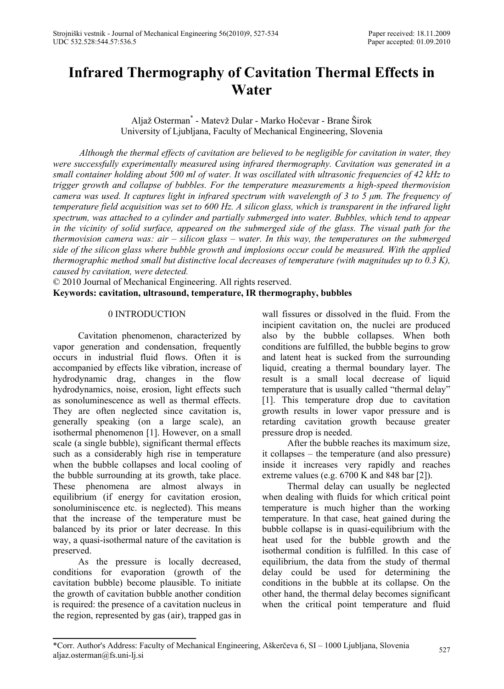# **Infrared Thermography of Cavitation Thermal Effects in Water**

Aljaž Osterman\* - Matevž Dular - Marko Hočevar - Brane Širok University of Ljubljana, Faculty of Mechanical Engineering, Slovenia

*Although the thermal effects of cavitation are believed to be negligible for cavitation in water, they were successfully experimentally measured using infrared thermography. Cavitation was generated in a small container holding about 500 ml of water. It was oscillated with ultrasonic frequencies of 42 kHz to trigger growth and collapse of bubbles. For the temperature measurements a high-speed thermovision camera was used. It captures light in infrared spectrum with wavelength of 3 to 5 μm. The frequency of temperature field acquisition was set to 600 Hz. A silicon glass, which is transparent in the infrared light spectrum, was attached to a cylinder and partially submerged into water. Bubbles, which tend to appear in the vicinity of solid surface, appeared on the submerged side of the glass. The visual path for the thermovision camera was: air – silicon glass – water. In this way, the temperatures on the submerged side of the silicon glass where bubble growth and implosions occur could be measured. With the applied thermographic method small but distinctive local decreases of temperature (with magnitudes up to 0.3 K), caused by cavitation, were detected.*

© 2010 Journal of Mechanical Engineering. All rights reserved. **Keywords: cavitation, ultrasound, temperature, IR thermography, bubbles** 

## 0 INTRODUCTION

Cavitation phenomenon, characterized by vapor generation and condensation, frequently occurs in industrial fluid flows. Often it is accompanied by effects like vibration, increase of hydrodynamic drag, changes in the flow hydrodynamics, noise, erosion, light effects such as sonoluminescence as well as thermal effects. They are often neglected since cavitation is, generally speaking (on a large scale), an isothermal phenomenon [1]. However, on a small scale (a single bubble), significant thermal effects such as a considerably high rise in temperature when the bubble collapses and local cooling of the bubble surrounding at its growth, take place. These phenomena are almost always in equilibrium (if energy for cavitation erosion, sonoluminiscence etc. is neglected). This means that the increase of the temperature must be balanced by its prior or later decrease. In this way, a quasi-isothermal nature of the cavitation is preserved.

As the pressure is locally decreased, conditions for evaporation (growth of the cavitation bubble) become plausible. To initiate the growth of cavitation bubble another condition is required: the presence of a cavitation nucleus in the region, represented by gas (air), trapped gas in wall fissures or dissolved in the fluid. From the incipient cavitation on, the nuclei are produced also by the bubble collapses. When both conditions are fulfilled, the bubble begins to grow and latent heat is sucked from the surrounding liquid, creating a thermal boundary layer. The result is a small local decrease of liquid temperature that is usually called "thermal delay" [1]. This temperature drop due to cavitation growth results in lower vapor pressure and is retarding cavitation growth because greater pressure drop is needed.

After the bubble reaches its maximum size, it collapses – the temperature (and also pressure) inside it increases very rapidly and reaches extreme values (e.g. 6700 K and 848 bar [2]).

Thermal delay can usually be neglected when dealing with fluids for which critical point temperature is much higher than the working temperature. In that case, heat gained during the bubble collapse is in quasi-equilibrium with the heat used for the bubble growth and the isothermal condition is fulfilled. In this case of equilibrium, the data from the study of thermal delay could be used for determining the conditions in the bubble at its collapse. On the other hand, the thermal delay becomes significant when the critical point temperature and fluid

<sup>\*</sup>Corr. Author's Address: Faculty of Mechanical Engineering, Aškerčeva 6, SI – 1000 Ljubljana, Slovenia aljaz.osterman@fs.uni-lj.si <sup>527</sup>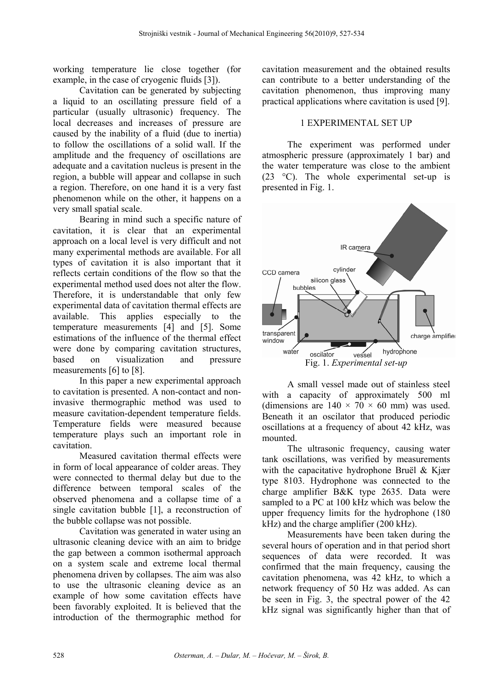working temperature lie close together (for example, in the case of cryogenic fluids [3]).

Cavitation can be generated by subjecting a liquid to an oscillating pressure field of a particular (usually ultrasonic) frequency. The local decreases and increases of pressure are caused by the inability of a fluid (due to inertia) to follow the oscillations of a solid wall. If the amplitude and the frequency of oscillations are adequate and a cavitation nucleus is present in the region, a bubble will appear and collapse in such a region. Therefore, on one hand it is a very fast phenomenon while on the other, it happens on a very small spatial scale.

Bearing in mind such a specific nature of cavitation, it is clear that an experimental approach on a local level is very difficult and not many experimental methods are available. For all types of cavitation it is also important that it reflects certain conditions of the flow so that the experimental method used does not alter the flow. Therefore, it is understandable that only few experimental data of cavitation thermal effects are available. This applies especially to the temperature measurements [4] and [5]. Some estimations of the influence of the thermal effect were done by comparing cavitation structures. based on visualization and pressure measurements [6] to [8].

In this paper a new experimental approach to cavitation is presented. A non-contact and noninvasive thermographic method was used to measure cavitation-dependent temperature fields. Temperature fields were measured because temperature plays such an important role in cavitation.

Measured cavitation thermal effects were in form of local appearance of colder areas. They were connected to thermal delay but due to the difference between temporal scales of the observed phenomena and a collapse time of a single cavitation bubble [1], a reconstruction of the bubble collapse was not possible.

Cavitation was generated in water using an ultrasonic cleaning device with an aim to bridge the gap between a common isothermal approach on a system scale and extreme local thermal phenomena driven by collapses. The aim was also to use the ultrasonic cleaning device as an example of how some cavitation effects have been favorably exploited. It is believed that the introduction of the thermographic method for

cavitation measurement and the obtained results can contribute to a better understanding of the cavitation phenomenon, thus improving many practical applications where cavitation is used [9].

# 1 EXPERIMENTAL SET UP

The experiment was performed under atmospheric pressure (approximately 1 bar) and the water temperature was close to the ambient (23 °C). The whole experimental set-up is presented in Fig. 1.



A small vessel made out of stainless steel with a capacity of approximately 500 ml (dimensions are  $140 \times 70 \times 60$  mm) was used. Beneath it an oscilator that produced periodic oscillations at a frequency of about 42 kHz, was mounted.

The ultrasonic frequency, causing water tank oscillations, was verified by measurements with the capacitative hydrophone Bruël & Kjær type 8103. Hydrophone was connected to the charge amplifier B&K type 2635. Data were sampled to a PC at 100 kHz which was below the upper frequency limits for the hydrophone (180 kHz) and the charge amplifier (200 kHz).

Measurements have been taken during the several hours of operation and in that period short sequences of data were recorded. It was confirmed that the main frequency, causing the cavitation phenomena, was 42 kHz, to which a network frequency of 50 Hz was added. As can be seen in Fig. 3, the spectral power of the 42 kHz signal was significantly higher than that of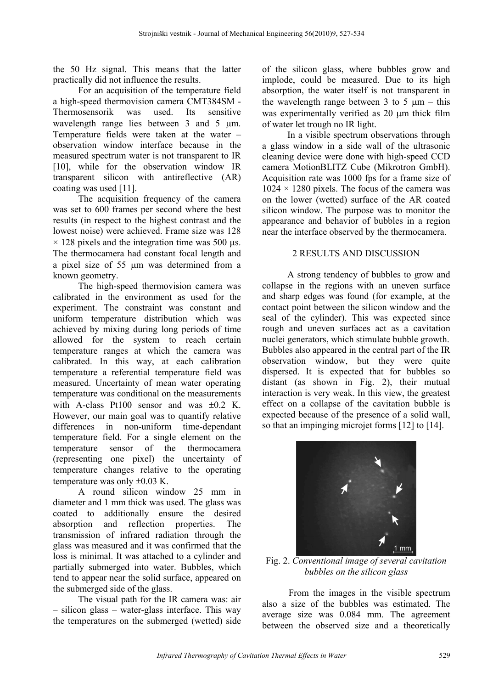the 50 Hz signal. This means that the latter practically did not influence the results.

For an acquisition of the temperature field a high-speed thermovision camera CMT384SM - Thermosensorik was used. Its sensitive wavelength range lies between  $3$  and  $5 \mu m$ . Temperature fields were taken at the water – observation window interface because in the measured spectrum water is not transparent to IR [10], while for the observation window IR transparent silicon with antireflective (AR) coating was used [11].

The acquisition frequency of the camera was set to 600 frames per second where the best results (in respect to the highest contrast and the lowest noise) were achieved. Frame size was 128  $\times$  128 pixels and the integration time was 500 µs. The thermocamera had constant focal length and a pixel size of 55 µm was determined from a known geometry.

The high-speed thermovision camera was calibrated in the environment as used for the experiment. The constraint was constant and uniform temperature distribution which was achieved by mixing during long periods of time allowed for the system to reach certain temperature ranges at which the camera was calibrated. In this way, at each calibration temperature a referential temperature field was measured. Uncertainty of mean water operating temperature was conditional on the measurements with A-class Pt100 sensor and was  $\pm 0.2$  K. However, our main goal was to quantify relative differences in non-uniform time-dependant temperature field. For a single element on the temperature sensor of the thermocamera (representing one pixel) the uncertainty of temperature changes relative to the operating temperature was only  $\pm 0.03$  K.

A round silicon window 25 mm in diameter and 1 mm thick was used. The glass was coated to additionally ensure the desired absorption and reflection properties. The transmission of infrared radiation through the glass was measured and it was confirmed that the loss is minimal. It was attached to a cylinder and partially submerged into water. Bubbles, which tend to appear near the solid surface, appeared on the submerged side of the glass.

The visual path for the IR camera was: air – silicon glass – water-glass interface. This way the temperatures on the submerged (wetted) side of the silicon glass, where bubbles grow and implode, could be measured. Due to its high absorption, the water itself is not transparent in the wavelength range between 3 to 5  $\mu$ m – this was experimentally verified as 20  $\mu$ m thick film of water let trough no IR light.

In a visible spectrum observations through a glass window in a side wall of the ultrasonic cleaning device were done with high-speed CCD camera MotionBLITZ Cube (Mikrotron GmbH). Acquisition rate was 1000 fps for a frame size of  $1024 \times 1280$  pixels. The focus of the camera was on the lower (wetted) surface of the AR coated silicon window. The purpose was to monitor the appearance and behavior of bubbles in a region near the interface observed by the thermocamera.

# 2 RESULTS AND DISCUSSION

A strong tendency of bubbles to grow and collapse in the regions with an uneven surface and sharp edges was found (for example, at the contact point between the silicon window and the seal of the cylinder). This was expected since rough and uneven surfaces act as a cavitation nuclei generators, which stimulate bubble growth. Bubbles also appeared in the central part of the IR observation window, but they were quite dispersed. It is expected that for bubbles so distant (as shown in Fig. 2), their mutual interaction is very weak. In this view, the greatest effect on a collapse of the cavitation bubble is expected because of the presence of a solid wall, so that an impinging microjet forms [12] to [14].



Fig. 2. *Conventional image of several cavitation bubbles on the silicon glass*

From the images in the visible spectrum also a size of the bubbles was estimated. The average size was 0.084 mm. The agreement between the observed size and a theoretically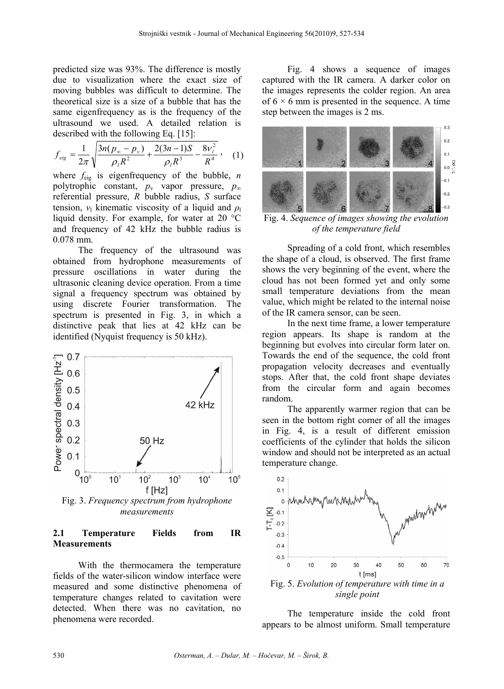predicted size was 93%. The difference is mostly due to visualization where the exact size of moving bubbles was difficult to determine. The theoretical size is a size of a bubble that has the same eigenfrequency as is the frequency of the ultrasound we used. A detailed relation is described with the following Eq. [15]:

$$
f_{eig} = \frac{1}{2\pi} \sqrt{\frac{3n(p_{\infty} - p_{\nu})}{\rho_l R^2} + \frac{2(3n - 1)S}{\rho_l R^3} - \frac{8\nu_l^2}{R^4}},
$$
 (1)

where *f*eig is eigenfrequency of the bubble, *n* polytrophic constant,  $p_v$  vapor pressure,  $p_\infty$ referential pressure, *R* bubble radius, *S* surface tension,  $v_1$  kinematic viscosity of a liquid and  $\rho_1$ liquid density. For example, for water at 20 °C and frequency of 42 kHz the bubble radius is 0.078 mm.

The frequency of the ultrasound was obtained from hydrophone measurements of pressure oscillations in water during the ultrasonic cleaning device operation. From a time signal a frequency spectrum was obtained by using discrete Fourier transformation. The spectrum is presented in Fig. 3, in which a distinctive peak that lies at 42 kHz can be identified (Nyquist frequency is 50 kHz).



## **2.1 Temperature Fields from IR Measurements**

With the thermocamera the temperature fields of the water-silicon window interface were measured and some distinctive phenomena of temperature changes related to cavitation were detected. When there was no cavitation, no phenomena were recorded.

Fig. 4 shows a sequence of images captured with the IR camera. A darker color on the images represents the colder region. An area of  $6 \times 6$  mm is presented in the sequence. A time step between the images is 2 ms.



Fig. 4. *Sequence of images showing the evolution of the temperature field*

Spreading of a cold front, which resembles the shape of a cloud, is observed. The first frame shows the very beginning of the event, where the cloud has not been formed yet and only some small temperature deviations from the mean value, which might be related to the internal noise of the IR camera sensor, can be seen.

In the next time frame, a lower temperature region appears. Its shape is random at the beginning but evolves into circular form later on. Towards the end of the sequence, the cold front propagation velocity decreases and eventually stops. After that, the cold front shape deviates from the circular form and again becomes random.

The apparently warmer region that can be seen in the bottom right corner of all the images in Fig. 4, is a result of different emission coefficients of the cylinder that holds the silicon window and should not be interpreted as an actual temperature change.



Fig. 5. *Evolution of temperature with time in a single point*

The temperature inside the cold front appears to be almost uniform. Small temperature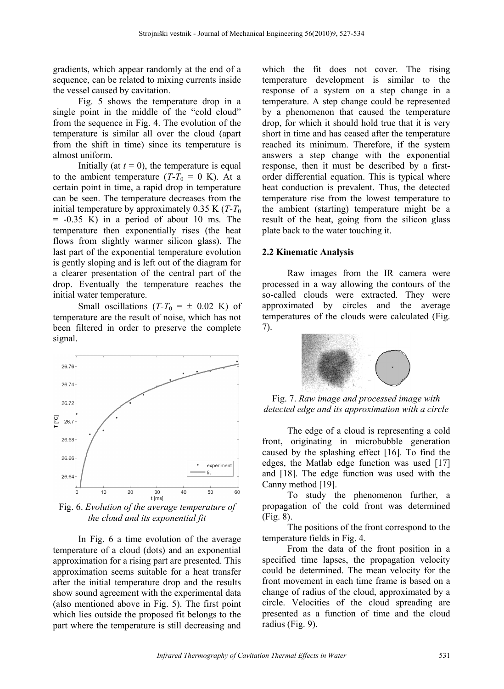gradients, which appear randomly at the end of a sequence, can be related to mixing currents inside the vessel caused by cavitation.

Fig. 5 shows the temperature drop in a single point in the middle of the "cold cloud" from the sequence in Fig. 4. The evolution of the temperature is similar all over the cloud (apart from the shift in time) since its temperature is almost uniform.

Initially (at  $t = 0$ ), the temperature is equal to the ambient temperature  $(T-T_0 = 0 \text{ K})$ . At a certain point in time, a rapid drop in temperature can be seen. The temperature decreases from the initial temperature by approximately  $0.35$  K ( $T-T_0$ )  $= -0.35$  K) in a period of about 10 ms. The temperature then exponentially rises (the heat flows from slightly warmer silicon glass). The last part of the exponential temperature evolution is gently sloping and is left out of the diagram for a clearer presentation of the central part of the drop. Eventually the temperature reaches the initial water temperature.

Small oscillations  $(T-T_0 = \pm 0.02 \text{ K})$  of temperature are the result of noise, which has not been filtered in order to preserve the complete signal.



Fig. 6. *Evolution of the average temperature of the cloud and its exponential fit*

In Fig. 6 a time evolution of the average temperature of a cloud (dots) and an exponential approximation for a rising part are presented. This approximation seems suitable for a heat transfer after the initial temperature drop and the results show sound agreement with the experimental data (also mentioned above in Fig. 5). The first point which lies outside the proposed fit belongs to the part where the temperature is still decreasing and

which the fit does not cover. The rising temperature development is similar to the response of a system on a step change in a temperature. A step change could be represented by a phenomenon that caused the temperature drop, for which it should hold true that it is very short in time and has ceased after the temperature reached its minimum. Therefore, if the system answers a step change with the exponential response, then it must be described by a firstorder differential equation. This is typical where heat conduction is prevalent. Thus, the detected temperature rise from the lowest temperature to the ambient (starting) temperature might be a result of the heat, going from the silicon glass plate back to the water touching it.

# **2.2 Kinematic Analysis**

Raw images from the IR camera were processed in a way allowing the contours of the so-called clouds were extracted. They were approximated by circles and the average temperatures of the clouds were calculated (Fig. 7).



Fig. 7. *Raw image and processed image with detected edge and its approximation with a circle*

The edge of a cloud is representing a cold front, originating in microbubble generation caused by the splashing effect [16]. To find the edges, the Matlab edge function was used [17] and [18]. The edge function was used with the Canny method [19].

To study the phenomenon further, a propagation of the cold front was determined (Fig. 8).

The positions of the front correspond to the temperature fields in Fig. 4.

From the data of the front position in a specified time lapses, the propagation velocity could be determined. The mean velocity for the front movement in each time frame is based on a change of radius of the cloud, approximated by a circle. Velocities of the cloud spreading are presented as a function of time and the cloud radius (Fig. 9).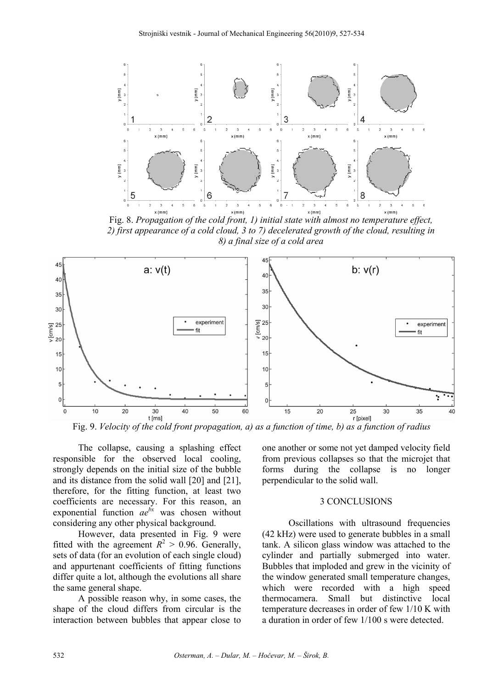

Fig. 8. *Propagation of the cold front, 1) initial state with almost no temperature effect, 2) first appearance of a cold cloud, 3 to 7) decelerated growth of the cloud, resulting in 8) a final size of a cold area* 



Fig. 9. *Velocity of the cold front propagation, a) as a function of time, b) as a function of radius*

The collapse, causing a splashing effect responsible for the observed local cooling, strongly depends on the initial size of the bubble and its distance from the solid wall [20] and [21], therefore, for the fitting function, at least two coefficients are necessary. For this reason, an exponential function  $ae^{bx}$  was chosen without considering any other physical background.

However, data presented in Fig. 9 were fitted with the agreement  $R^2 > 0.96$ . Generally, sets of data (for an evolution of each single cloud) and appurtenant coefficients of fitting functions differ quite a lot, although the evolutions all share the same general shape.

A possible reason why, in some cases, the shape of the cloud differs from circular is the interaction between bubbles that appear close to

one another or some not yet damped velocity field from previous collapses so that the microjet that forms during the collapse is no longer perpendicular to the solid wall.

#### 3 CONCLUSIONS

Oscillations with ultrasound frequencies (42 kHz) were used to generate bubbles in a small tank. A silicon glass window was attached to the cylinder and partially submerged into water. Bubbles that imploded and grew in the vicinity of the window generated small temperature changes, which were recorded with a high speed thermocamera. Small but distinctive local temperature decreases in order of few 1/10 K with a duration in order of few 1/100 s were detected.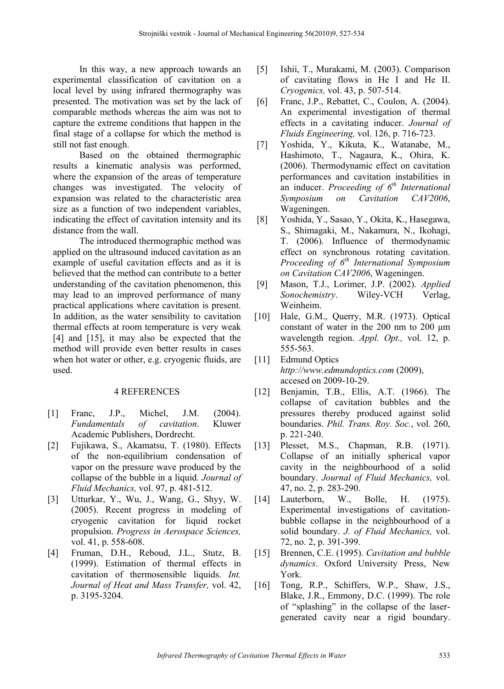In this way, a new approach towards an experimental classification of cavitation on a local level by using infrared thermography was presented. The motivation was set by the lack of comparable methods whereas the aim was not to capture the extreme conditions that happen in the final stage of a collapse for which the method is still not fast enough.

Based on the obtained thermographic results a kinematic analysis was performed, where the expansion of the areas of temperature changes was investigated. The velocity of expansion was related to the characteristic area size as a function of two independent variables, indicating the effect of cavitation intensity and its distance from the wall.

The introduced thermographic method was applied on the ultrasound induced cavitation as an example of useful cavitation effects and as it is believed that the method can contribute to a better understanding of the cavitation phenomenon, this may lead to an improved performance of many practical applications where cavitation is present. In addition, as the water sensibility to cavitation thermal effects at room temperature is very weak [4] and [15], it may also be expected that the method will provide even better results in cases when hot water or other, e.g. cryogenic fluids, are used.

#### 4 REFERENCES

- [1] Franc, J.P., Michel, J.M. (2004). *Fundamentals of cavitation*. Kluwer Academic Publishers, Dordrecht.
- [2] Fujikawa, S., Akamatsu, T. (1980). Effects of the non-equilibrium condensation of vapor on the pressure wave produced by the collapse of the bubble in a liquid. *Journal of Fluid Mechanics,* vol. 97, p. 481-512.
- [3] Utturkar, Y., Wu, J., Wang, G., Shyy, W. (2005). Recent progress in modeling of cryogenic cavitation for liquid rocket propulsion. *Progress in Aerospace Sciences,*  vol. 41, p. 558-608.
- [4] Fruman, D.H., Reboud, J.L., Stutz, B. (1999). Estimation of thermal effects in cavitation of thermosensible liquids. *Int. Journal of Heat and Mass Transfer,* vol. 42, p. 3195-3204.
- [5] Ishii, T., Murakami, M. (2003). Comparison of cavitating flows in He I and He II. *Cryogenics,* vol. 43, p. 507-514.
- [6] Franc, J.P., Rebattet, C., Coulon, A. (2004). An experimental investigation of thermal effects in a cavitating inducer. *Journal of Fluids Engineering,* vol. 126, p. 716-723.
- [7] Yoshida, Y., Kikuta, K., Watanabe, M., Hashimoto, T., Nagaura, K., Ohira, K. (2006). Thermodynamic effect on cavitation performances and cavitation instabilities in an inducer. *Proceeding of 6th International Symposium on Cavitation CAV2006*, Wageningen.
- [8] Yoshida, Y., Sasao, Y., Okita, K., Hasegawa, S., Shimagaki, M., Nakamura, N., Ikohagi, T. (2006). Influence of thermodynamic effect on synchronous rotating cavitation. *Proceeding of 6th International Symposium on Cavitation CAV2006*, Wageningen.
- [9] Mason, T.J., Lorimer, J.P. (2002). *Applied Sonochemistry*. Wiley-VCH Verlag, Weinheim.
- [10] Hale, G.M., Querry, M.R. (1973). Optical constant of water in the 200 nm to 200 μm wavelength region. *Appl. Opt.,* vol. 12, p. 555-563.
- [11] Edmund Optics *http://www.edmundoptics.com* (2009), accesed on 2009-10-29.
- [12] Benjamin, T.B., Ellis, A.T. (1966). The collapse of cavitation bubbles and the pressures thereby produced against solid boundaries. *Phil. Trans. Roy. Soc.*, vol. 260, p. 221-240.
- [13] Plesset, M.S., Chapman, R.B. (1971). Collapse of an initially spherical vapor cavity in the neighbourhood of a solid boundary. *Journal of Fluid Mechanics,* vol. 47, no. 2, p. 283-290.
- [14] Lauterborn, W., Bolle, H. (1975). Experimental investigations of cavitationbubble collapse in the neighbourhood of a solid boundary. *J. of Fluid Mechanics,* vol. 72, no. 2, p. 391-399.
- [15] Brennen, C.E. (1995). *Cavitation and bubble dynamics*. Oxford University Press, New York.
- [16] Tong, R.P., Schiffers, W.P., Shaw, J.S., Blake, J.R., Emmony, D.C. (1999). The role of "splashing" in the collapse of the lasergenerated cavity near a rigid boundary.